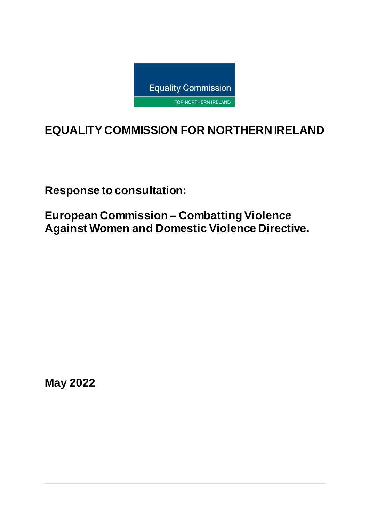

# **EQUALITY COMMISSION FOR NORTHERN IRELAND**

**Response to consultation:**

**European Commission – Combatting Violence Against Women and Domestic Violence Directive.** 

**May 2022**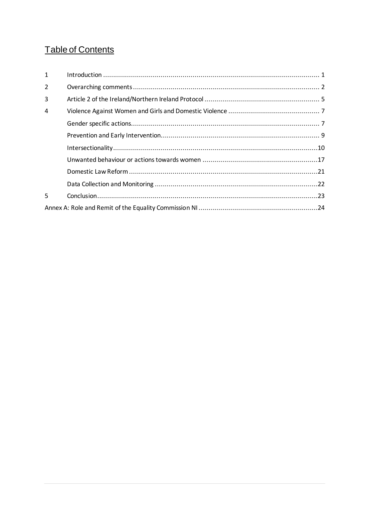## Table of Contents

| $\mathbf{1}$ |  |  |  |
|--------------|--|--|--|
| 2            |  |  |  |
| 3            |  |  |  |
| 4            |  |  |  |
|              |  |  |  |
|              |  |  |  |
|              |  |  |  |
|              |  |  |  |
|              |  |  |  |
|              |  |  |  |
| 5            |  |  |  |
|              |  |  |  |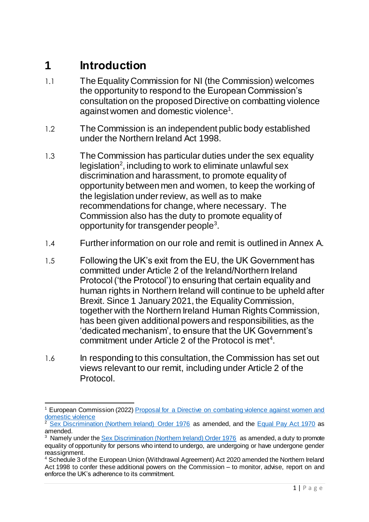# <span id="page-2-0"></span>**1 Introduction**

- 1.1 The Equality Commission for NI (the Commission) welcomes the opportunity to respond to the European Commission's consultation on the proposed Directive on combatting violence against women and domestic violence<sup>1</sup>.
- 1.2 The Commission is an independent public body established under the Northern Ireland Act 1998.
- 1.3 The Commission has particular duties under the sex equality legislation<sup>2</sup>, including to work to eliminate unlawful sex discrimination and harassment, to promote equality of opportunity between men and women, to keep the working of the legislation under review, as well as to make recommendations for change, where necessary. The Commission also has the duty to promote equality of opportunity for transgender people<sup>3</sup>.
- 1.4 Further information on our role and remit is outlined in Annex A.
- 1.5 Following the UK's exit from the EU, the UK Government has committed under Article 2 of the Ireland/Northern Ireland Protocol ('the Protocol') to ensuring that certain equality and human rights in Northern Ireland will continue to be upheld after Brexit. Since 1 January 2021, the Equality Commission, together with the Northern Ireland Human Rights Commission, has been given additional powers and responsibilities, as the 'dedicated mechanism', to ensure that the UK Government's commitment under Article  $2$  of the Protocol is met<sup>4</sup>.
- 1.6 In responding to this consultation, the Commission has set out views relevant to our remit, including under Article 2 of the Protocol.

 $\overline{a}$ <sup>1</sup> European Commission (2022) Proposal for a Directive on combating violence against women and [domestic violence](https://ec.europa.eu/info/law/better-regulation/have-your-say/initiatives/12682-Combating-gender-based-violence-protecting-victims-and-punishing-offenders_en)

<sup>2</sup> [Sex Discrimination \(Northern Ireland\) Order 1976](http://www.legislation.gov.uk/nisi/1976/1042/article/8) as amended, and the [Equal Pay Act 1970](http://www.legislation.gov.uk/apni/1970/32/contents) as amended.

<sup>&</sup>lt;sup>3</sup> Namely under the **Sex Discrimination (Northern Ireland) Order 1976** as amended, a duty to promote equality of opportunity for persons who intend to undergo, are undergoing or have undergone gender reassignment.

<sup>&</sup>lt;sup>4</sup> Schedule 3 of the European Union (Withdrawal Agreement) Act 2020 amended the Northern Ireland Act 1998 to confer these additional powers on the Commission – to monitor, advise, report on and enforce the UK's adherence to its commitment.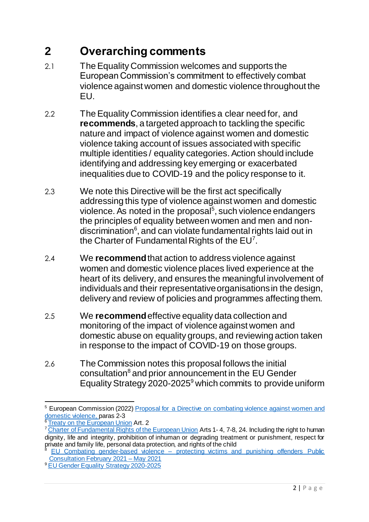# <span id="page-3-0"></span>**2 Overarching comments**

- 2.1 The Equality Commission welcomes and supports the European Commission's commitment to effectively combat violence against women and domestic violence throughout the EU.
- 2.2 The Equality Commission identifies a clear need for, and **recommends**, a targeted approach to tackling the specific nature and impact of violence against women and domestic violence taking account of issues associated with specific multiple identities / equality categories. Action should include identifying and addressing key emerging or exacerbated inequalities due to COVID-19 and the policy response to it.
- 2.3 We note this Directive will be the first act specifically addressing this type of violence against women and domestic violence. As noted in the proposal<sup>5</sup>, such violence endangers the principles of equality between women and men and nondiscrimination<sup>6</sup>, and can violate fundamental rights laid out in the Charter of Fundamental Rights of the  $EU<sup>7</sup>$ .
- 2.4 We **recommend**that action to address violence against women and domestic violence places lived experience at the heart of its delivery, and ensures the meaningful involvement of individuals and their representative organisations in the design, delivery and review of policies and programmes affecting them.
- 2.5 We **recommend**effective equality data collection and monitoring of the impact of violence against women and domestic abuse on equality groups, and reviewing action taken in response to the impact of COVID-19 on those groups.
- 2.6 The Commission notes this proposal follows the initial consultation<sup>8</sup> and prior announcement in the EU Gender Equality Strategy 2020-2025<sup>9</sup> which commits to provide uniform

 $\overline{a}$ <sup>5</sup> European Commission (2022) Proposal for a Directive on combating violence against women and [domestic violence,](https://ec.europa.eu/info/law/better-regulation/have-your-say/initiatives/12682-Combating-gender-based-violence-protecting-victims-and-punishing-offenders_en) paras 2-3

[Treaty on the European Union](https://eur-lex.europa.eu/resource.html?uri=cellar:2bf140bf-a3f8-4ab2-b506-fd71826e6da6.0023.02/DOC_1&format=PDF) Art. 2

<sup>&</sup>lt;sup>7</sup> [Charter of Fundamental Rights of the European Union](https://eur-lex.europa.eu/legal-content/EN/TXT/?uri=CELEX:12012P/TXT) Arts 1-4, 7-8, 24. Including the right to human dignity, life and integrity, prohibition of inhuman or degrading treatment or punishment, respect for private and family life, personal data protection, and rights of the child

EU Combating gender-based violence – protecting victims and punishing offenders Public [Consultation February 2021 –](https://ec.europa.eu/info/law/better-regulation/have-your-say/initiatives/12682-Combating-gender-based-violence-protecting-victims-and-punishing-offenders/public-consultation_en) May 2021

<sup>9</sup> [EU Gender Equality Strategy 2020-2025](https://ec.europa.eu/info/policies/justice-and-fundamental-rights/gender-equality/gender-equality-strategy_en)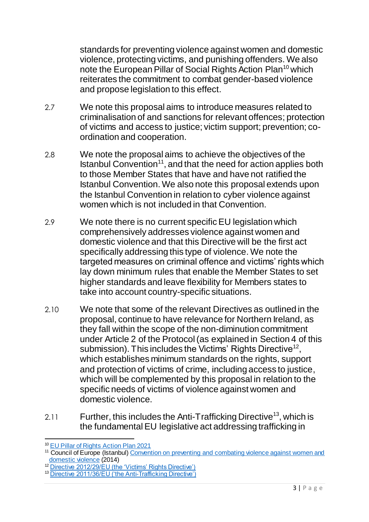standards for preventing violence against women and domestic violence, protecting victims, and punishing offenders. We also note the European Pillar of Social Rights Action Plan<sup>10</sup> which reiterates the commitment to combat gender-based violence and propose legislation to this effect.

- 2.7 We note this proposal aims to introduce measures related to criminalisation of and sanctions for relevant offences; protection of victims and access to justice; victim support; prevention; coordination and cooperation.
- 2.8 We note the proposal aims to achieve the objectives of the Istanbul Convention<sup>11</sup>, and that the need for action applies both to those Member States that have and have not ratified the Istanbul Convention. We also note this proposal extends upon the Istanbul Convention in relation to cyber violence against women which is not included in that Convention.
- 2.9 We note there is no current specific EU legislation which comprehensively addresses violence against women and domestic violence and that this Directive will be the first act specifically addressing this type of violence. We note the targeted measures on criminal offence and victims' rights which lay down minimum rules that enable the Member States to set higher standards and leave flexibility for Members states to take into account country-specific situations.
- 2.10 We note that some of the relevant Directives as outlined in the proposal, continue to have relevance for Northern Ireland, as they fall within the scope of the non-diminution commitment under Article 2 of the Protocol (as explained in Section 4 of this submission). This includes the Victims' Rights Directive<sup>12</sup>, which establishes minimum standards on the rights, support and protection of victims of crime, including access to justice, which will be complemented by this proposal in relation to the specific needs of victims of violence against women and domestic violence.
- 2.11 Further, this includes the Anti-Trafficking Directive<sup>13</sup>, which is the fundamental EU legislative act addressing trafficking in

 $\overline{a}$ <sup>10</sup> [EU Pillar of Rights Action Plan 2021](https://ec.europa.eu/info/strategy/priorities-2019-2024/economy-works-people/jobs-growth-and-investment/european-pillar-social-rights/european-pillar-social-rights-action-plan_en)

<sup>&</sup>lt;sup>11</sup> Council of Europe (Istanbul) Convention on preventing and combating violence against women and [domestic violence](https://www.coe.int/en/web/istanbul-convention/home?msclkid=9b57931dcfeb11ec8f17eaa353ec2131) (2014)

<sup>&</sup>lt;sup>12</sup> [Directive 2012/29/EU \(the 'Victims' Rights Directive'\)](https://ec.europa.eu/anti-trafficking/victims-crime-directive-201229eu_en?msclkid=b4297c3ecff111ec9b58b4104bfd8698)

<sup>&</sup>lt;sup>13</sup> [Directive 2011/36/EU \('the Anti-Trafficking Directive'\)](https://eur-lex.europa.eu/legal-content/en/TXT/?uri=CELEX%3A32011L0036)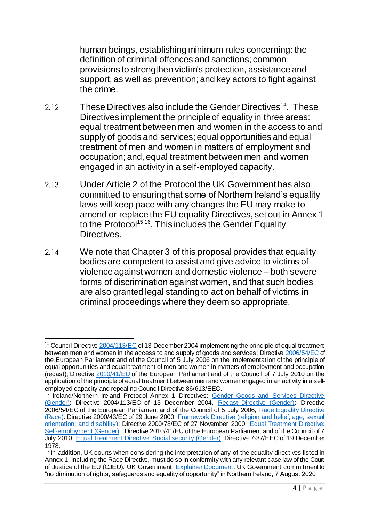human beings, establishing minimum rules concerning: the definition of criminal offences and sanctions; common provisions to strengthen victim's protection, assistance and support, as well as prevention; and key actors to fight against the crime.

- 2.12 These Directives also include the Gender Directives<sup>14</sup>. These Directives implement the principle of equality in three areas: equal treatment between men and women in the access to and supply of goods and services; equal opportunities and equal treatment of men and women in matters of employment and occupation; and, equal treatment between men and women engaged in an activity in a self-employed capacity.
- 2.13 Under Article 2 of the Protocol the UK Government has also committed to ensuring that some of Northern Ireland's equality laws will keep pace with any changes the EU may make to amend or replace the EU equality Directives, set out in Annex 1 to the Protocol<sup>15 16</sup>. This includes the Gender Equality Directives.
- 2.14 We note that Chapter 3 of this proposal provides that equality bodies are competent to assist and give advice to victims of violence against women and domestic violence – both severe forms of discrimination against women, and that such bodies are also granted legal standing to act on behalf of victims in criminal proceedings where they deem so appropriate.

 $\overline{a}$ <sup>14</sup> Council Directive **2004/113/EC** of 13 December 2004 implementing the principle of equal treatment between men and women in the access to and supply of goods and services; Directiv[e 2006/54/EC](https://eur-lex.europa.eu/legal-content/EN/TXT/?uri=celex%3A32006L0054) of the European Parliament and of the Council of 5 July 2006 on the implementation of the principle of equal opportunities and equal treatment of men and women in matters of employment and occupation (recast); Directive [2010/41/EU](https://eur-lex.europa.eu/legal-content/EN/TXT/?uri=celex%3A32010L0041) of the European Parliament and of the Council of 7 July 2010 on the application of the principle of equal treatment between men and women engaged in an activity in a selfemployed capacity and repealing Council Directive 86/613/EEC.

<sup>&</sup>lt;sup>15</sup> Ireland/Northern Ireland Protocol Annex 1 Directives: Gender Goods and Services Directive [\(Gender\):](https://eur-lex.europa.eu/legal-content/EN/TXT/?uri=celex%3A32004L0113) Directive 2004/113/EC of 13 December 2004, [Recast Directive \(Gender\):](https://eur-lex.europa.eu/legal-content/EN/TXT/?uri=celex%3A32006L0054) Directive 2006/54/EC of the European Parliament and of the Council of 5 July 2006, Race Equality Directive [\(Race\):](https://eur-lex.europa.eu/legal-content/EN/TXT/?uri=CELEX%3A32000L0043) Directive 2000/43/EC of 29 June 2000, [Framework Directive \(religion and belief; age; sexual](https://eur-lex.europa.eu/legal-content/EN/TXT/HTML/?uri=CELEX:32000L0078&from=EN)  [orientation; and disability\)](https://eur-lex.europa.eu/legal-content/EN/TXT/HTML/?uri=CELEX:32000L0078&from=EN): Directive 2000/78/EC of 27 November 2000, [Equal Treatment Directive:](https://eur-lex.europa.eu/legal-content/EN/TXT/?uri=celex%3A32010L0041)  [Self-employment \(Gender\)](https://eur-lex.europa.eu/legal-content/EN/TXT/?uri=celex%3A32010L0041): Directive 2010/41/EU of the European Parliament and of the Council of 7 July 2010, [Equal Treatment Directive: Social security \(Gender\):](https://eur-lex.europa.eu/legal-content/EN/ALL/?uri=celex%3A31979L0007) Directive 79/7/EEC of 19 December 1978.

<sup>&</sup>lt;sup>16</sup> In addition, UK courts when considering the interpretation of any of the equality directives listed in Annex 1, including the Race Directive, must do so in conformity with any relevant case law of the Court of Justice of the EU (CJEU). UK Government, [Explainer Document:](https://www.gov.uk/government/publications/protocol-on-irelandnorthern-ireland-article-2) UK Government commitment to "no diminution of rights, safeguards and equality of opportunity" in Northern Ireland, 7 August 2020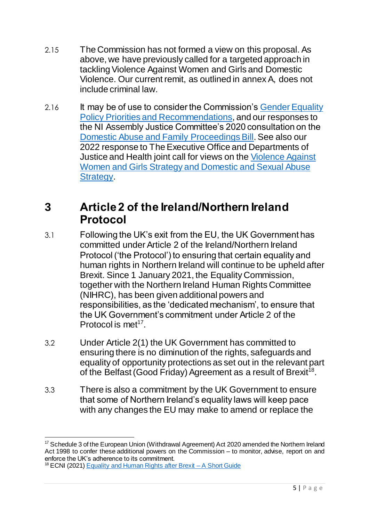- 2.15 The Commission has not formed a view on this proposal. As above, we have previously called for a targeted approach in tackling Violence Against Women and Girls and Domestic Violence. Our current remit, as outlined in annex A, does not include criminal law.
- 2.16 It may be of use to consider the Commission's Gender Equality [Policy Priorities and Recommendations](https://www.equalityni.org/ECNI/media/ECNI/Publications/Delivering%20Equality/GenderPolicyPriorities-Full.pdf), and our responses to the NI Assembly Justice Committee's 2020 consultation on the [Domestic Abuse and Family Proceedings Bill.](https://www.equalityni.org/ECNI/media/ECNI/Consultation%20Responses/2020/DoJ-DomesticAbuseFamilyProceedingsBill.pdf?ext=.pdf) See also our 2022 response to The Executive Office and Departments of Justice and Health joint call for views on the [Violence Against](https://www.equalityni.org/ECNI/media/ECNI/Consultation%20Responses/2022/DOJ-Domestic-Sex-Abuse-Strategy.pdf)  Women and Girls Strategy [and Domestic and Sexual Abuse](https://www.equalityni.org/ECNI/media/ECNI/Consultation%20Responses/2022/DOJ-Domestic-Sex-Abuse-Strategy.pdf)  [Strategy.](https://www.equalityni.org/ECNI/media/ECNI/Consultation%20Responses/2022/DOJ-Domestic-Sex-Abuse-Strategy.pdf)

## <span id="page-6-0"></span>**3 Article 2 of the Ireland/Northern Ireland Protocol**

- 3.1 Following the UK's exit from the EU, the UK Government has committed under Article 2 of the Ireland/Northern Ireland Protocol ('the Protocol') to ensuring that certain equality and human rights in Northern Ireland will continue to be upheld after Brexit. Since 1 January 2021, the Equality Commission, together with the Northern Ireland Human Rights Committee (NIHRC), has been given additional powers and responsibilities, as the 'dedicated mechanism', to ensure that the UK Government's commitment under Article 2 of the Protocol is met<sup>17</sup>.
- 3.2 Under Article 2(1) the UK Government has committed to ensuring there is no diminution of the rights, safeguards and equality of opportunity protections as set out in the relevant part of the Belfast (Good Friday) Agreement as a result of Brexit<sup>18</sup>.
- 3.3 There is also a commitment by the UK Government to ensure that some of Northern Ireland's equality laws will keep pace with any changes the EU may make to amend or replace the

<sup>1</sup> <sup>17</sup> Schedule 3 of the European Union (Withdrawal Agreement) Act 2020 amended the Northern Ireland Act 1998 to confer these additional powers on the Commission – to monitor, advise, report on and enforce the UK's adherence to its commitment.

<sup>&</sup>lt;sup>18</sup> ECNI (2021) [Equality and Human Rights after Brexit –](https://www.equalityni.org/ECNI/media/ECNI/Publications/Delivering%20Equality/DMU/Brexit-YourRightsShortGuide.pdf) A Short Guide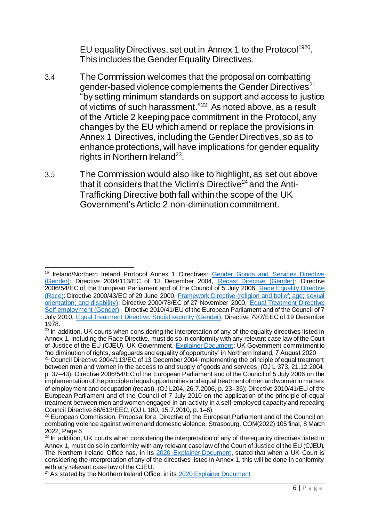EU equality Directives, set out in Annex 1 to the Protocol<sup>1920</sup>. This includes the Gender Equality Directives.

- 3.4 The Commission welcomes that the proposal on combatting gender-based violence complements the Gender Directives<sup>21</sup> "by setting minimum standards on support and access to justice of victims of such harassment."<sup>22</sup> As noted above, as a result of the Article 2 keeping pace commitment in the Protocol, any changes by the EU which amend or replace the provisions in Annex 1 Directives, including the Gender Directives, so as to enhance protections, will have implications for gender equality rights in Northern Ireland $^{23}$ .
- 3.5 The Commission would also like to highlight, as set out above that it considers that the Victim's Directive<sup>24</sup> and the Anti-Trafficking Directive both fall within the scope of the UK Government's Article 2 non-diminution commitment.

 $\overline{a}$ <sup>19</sup> Ireland/Northern Ireland Protocol Annex 1 Directives: Gender Goods and Services Directive [\(Gender\):](https://eur-lex.europa.eu/legal-content/EN/TXT/?uri=celex%3A32004L0113) Directive 2004/113/EC of 13 December 2004, [Recast Directive \(Gender\):](https://eur-lex.europa.eu/legal-content/EN/TXT/?uri=celex%3A32006L0054) Directive 2006/54/EC of the European Parliament and of the Council of 5 July 2006, [Race Equality Directive](https://eur-lex.europa.eu/legal-content/EN/TXT/?uri=CELEX%3A32000L0043)  [\(Race\):](https://eur-lex.europa.eu/legal-content/EN/TXT/?uri=CELEX%3A32000L0043) Directive 2000/43/EC of 29 June 2000, Framework Directive (religion and belief; age; sexual [orientation; and disability\)](https://eur-lex.europa.eu/legal-content/EN/TXT/HTML/?uri=CELEX:32000L0078&from=EN): Directive 2000/78/EC of 27 November 2000, Equal Treatment Directive: [Self-employment \(Gender\)](https://eur-lex.europa.eu/legal-content/EN/TXT/?uri=celex%3A32010L0041): Directive 2010/41/EU of the European Parliament and of the Council of 7 July 2010, [Equal Treatment Directive: Social security \(Gender\):](https://eur-lex.europa.eu/legal-content/EN/ALL/?uri=celex%3A31979L0007) Directive 79/7/EEC of 19 December 1978.

<sup>&</sup>lt;sup>20</sup> In addition, UK courts when considering the interpretation of any of the equality directives listed in Annex 1, including the Race Directive, must do so in conformity with any relevant case law of the Court of Justice of the EU (CJEU). UK Government, [Explainer Document:](https://www.gov.uk/government/publications/protocol-on-irelandnorthern-ireland-article-2) UK Government commitment to "no diminution of rights, safeguards and equality of opportunity" in Northern Ireland, 7 August 2020

<sup>&</sup>lt;sup>21</sup> Council Directive 2004/113/EC of 13 December 2004 implementing the principle of equal treatment between men and women in the access to and supply of goods and services, (OJ L 373, 21.12.2004, p. 37–43); Directive 2006/54/EC of the European Parliament and of the Council of 5 July 2006 on the implementation of the principle of equal opportunities and equal treatment of men and women in matters of employment and occupation (recast), (OJ L204, 26.7.2006, p. 23–36); Directive 2010/41/EU of the European Parliament and of the Council of 7 July 2010 on the application of the principle of equal treatment between men and women engaged in an activity in a self-employed capacity and repealing Council Directive 86/613/EEC, (OJ L 180, 15.7.2010, p. 1–6)

 $22$  European Commission, Proposal for a Directive of the European Parliament and of the Council on combating violence against women and domestic violence, Strasbourg, COM(2022) 105 final, 8 March 2022, Page 6

<sup>&</sup>lt;sup>23</sup> In addition, UK courts when considering the interpretation of any of the equality directives listed in Annex 1, must do so in conformity with any relevant case law of the Court of Justice of the EU (CJEU). The Northern Ireland Office has, in its [2020 Explainer Document](https://www.gov.uk/government/publications/protocol-on-irelandnorthern-ireland-article-2), stated that when a UK Court is considering the interpretation of any of the directives listed in Annex 1, this will be done in conformity with any relevant case law of the CJEU.

 $24$  As stated by the Northern Ireland Office, in its  $2020$  Explainer Document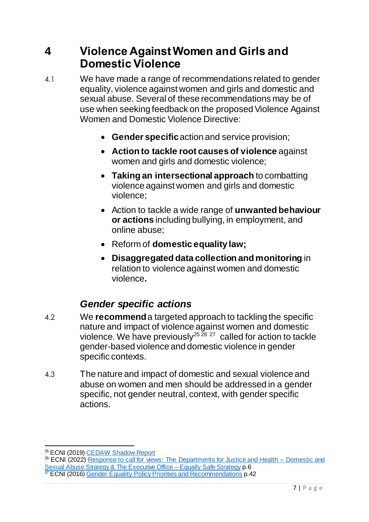## <span id="page-8-0"></span>**4 Violence Against Women and Girls and Domestic Violence**

- 4.1 We have made a range of recommendations related to gender equality, violence against women and girls and domestic and sexual abuse. Several of these recommendations may be of use when seeking feedback on the proposed Violence Against Women and Domestic Violence Directive:
	- **Gender specific**action and service provision;
	- **Action to tackle root causes of violence** against women and girls and domestic violence;
	- **Taking an intersectional approach** to combatting violence against women and girls and domestic violence;
	- Action to tackle a wide range of **unwanted behaviour or actions** including bullying, in employment, and online abuse;
	- Reform of **domestic equality law;**
	- **Disaggregated data collection and monitoring** in relation to violence against women and domestic violence**.**

## *Gender specific actions*

- <span id="page-8-1"></span>4.2 We **recommend** a targeted approach to tackling the specific nature and impact of violence against women and domestic violence. We have previously<sup>25 26</sup>  $^{27}$  called for action to tackle gender-based violence and domestic violence in gender specific contexts.
- 4.3 The nature and impact of domestic and sexual violence and abuse on women and men should be addressed in a gender specific, not gender neutral, context, with gender specific actions.

 $\overline{a}$ <sup>25</sup> ECNI (2019) [CEDAW Shadow Report](https://www.equalityni.org/ECNI/media/ECNI/Publications/Delivering%20Equality/CEDAW-ShadowReport2019.pdf)

<sup>&</sup>lt;sup>26</sup> ECNI (2022) [Response to call for views: The Departments for Justice and Health –](https://www.equalityni.org/ECNI/media/ECNI/Consultation%20Responses/2022/DOJ-Domestic-Sex-Abuse-Strategy.pdf) Domestic and [Sexual Abuse Strategy & The Executive Office –](https://www.equalityni.org/ECNI/media/ECNI/Consultation%20Responses/2022/DOJ-Domestic-Sex-Abuse-Strategy.pdf) Equally Safe Strategy p.6

<sup>&</sup>lt;sup>27</sup> ECNI (2016) [Gender Equality Policy Priorities and Recommendations](https://www.equalityni.org/ECNI/media/ECNI/Publications/Delivering%20Equality/GenderPolicyPriorities-Full.pdf) p.42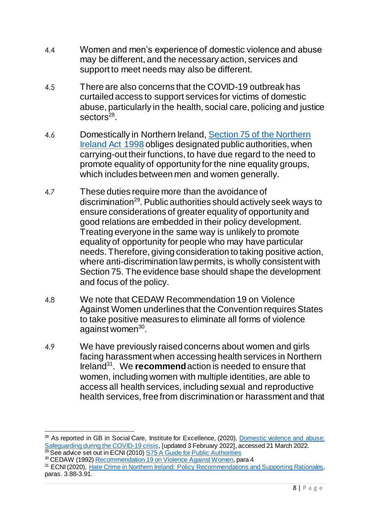- 4.4 Women and men's experience of domestic violence and abuse may be different, and the necessary action, services and support to meet needs may also be different.
- 4.5 There are also concerns that the COVID-19 outbreak has curtailed access to support services for victims of domestic abuse, particularly in the health, social care, policing and justice sectors<sup>28</sup>.
- 4.6 Domestically in Northern Ireland[, Section 75 of the Northern](https://www.legislation.gov.uk/ukpga/1998/47/section/75)  [Ireland Act 1998](https://www.legislation.gov.uk/ukpga/1998/47/section/75) obliges designated public authorities, when carrying-out their functions, to have due regard to the need to promote equality of opportunity for the nine equality groups, which includes between men and women generally.
- 4.7 These duties require more than the avoidance of discrimination<sup>29</sup>. Public authorities should actively seek ways to ensure considerations of greater equality of opportunity and good relations are embedded in their policy development. Treating everyone in the same way is unlikely to promote equality of opportunity for people who may have particular needs. Therefore, giving consideration to taking positive action, where anti-discrimination law permits, is wholly consistent with Section 75. The evidence base should shape the development and focus of the policy.
- 4.8 We note that CEDAW Recommendation 19 on Violence Against Women underlines that the Convention requires States to take positive measures to eliminate all forms of violence against women<sup>30</sup>.
- 4.9 We have previously raised concerns about women and girls facing harassment when accessing health services in Northern Ireland<sup>31</sup> . We **recommend**action is needed to ensure that women, including women with multiple identities, are able to access all health services, including sexual and reproductive health services, free from discrimination or harassment and that

 $\overline{a}$ <sup>28</sup> As reported in GB in Social Care, Institute for Excellence, (2020), Domestic violence and abuse: [Safeguarding during the COVID-19 crisis](https://www.scie.org.uk/care-providers/coronavirus-covid-19/safeguarding/domestic-violence-abuse), [updated 3 February 2022], accessed 21 March 2022. <sup>29</sup> See advice set out in ECNI (2010) [S75 A Guide for Public Authorities](http://www.equalityni.org/ECNI/media/ECNI/Publications/Employers%20and%20Service%20Providers/S75GuideforPublicAuthoritiesApril2010.pdf)

<sup>&</sup>lt;sup>30</sup> CEDAW (1992[\) Recommendation 19 on Violence Against Women,](https://www.refworld.org/docid/52d920c54.html) para 4

<sup>&</sup>lt;sup>31</sup> ECNI (2020), [Hate Crime in Northern Ireland: Policy Recommendations and Supporting Rationales,](https://www.equalityni.org/ECNI/media/ECNI/Publications/Delivering%20Equality/HateCrime-FullPolicyPosition.pdf) paras. 3.88-3.91.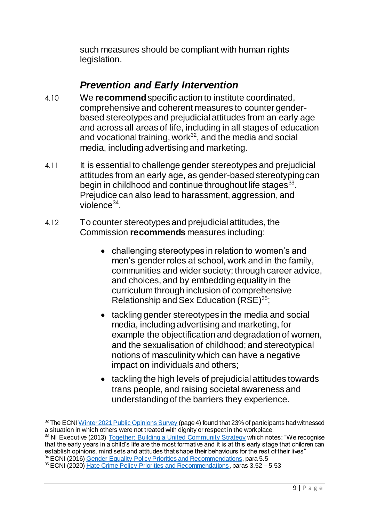such measures should be compliant with human rights legislation.

## *Prevention and Early Intervention*

- <span id="page-10-0"></span>4.10 We **recommend**specific action to institute coordinated, comprehensive and coherent measures to counter genderbased stereotypes and prejudicial attitudes from an early age and across all areas of life, including in all stages of education and vocational training, work $32$ , and the media and social media, including advertising and marketing.
- 4.11 It is essential to challenge gender stereotypes and prejudicial attitudes from an early age, as gender-based stereotyping can begin in childhood and continue throughout life stages $^{33}$ . Prejudice can also lead to harassment, aggression, and violence<sup>34</sup>.
- 4.12 To counter stereotypes and prejudicial attitudes, the Commission **recommends** measures including:
	- challenging stereotypes in relation to women's and men's gender roles at school, work and in the family, communities and wider society; through career advice, and choices, and by embedding equality in the curriculum through inclusion of comprehensive Relationship and Sex Education  $(RSE)^{35}$ ;
	- tackling gender stereotypes in the media and social media, including advertising and marketing, for example the objectification and degradation of women, and the sexualisation of childhood; and stereotypical notions of masculinity which can have a negative impact on individuals and others;
	- tackling the high levels of prejudicial attitudes towards trans people, and raising societal awareness and understanding of the barriers they experience.

 $\overline{a}$ <sup>32</sup> The ECNI [Winter 2021 Public Opinions Survey](https://www.equalityni.org/ECNI/media/ECNI/Publications/Delivering%20Equality/PublicOpinionSurvey-FullReport-Winter2021.pdf) (page 4) found that 23% of participants had witnessed a situation in which others were not treated with dignity or respect in the workplace.

<sup>&</sup>lt;sup>33</sup> NI Executive (2013) [Together: Building a United Community Strategy](https://www.executiveoffice-ni.gov.uk/publications/together-building-united-community-strategy) which notes: "We recognise that the early years in a child's life are the most formative and it is at this early stage that children can establish opinions, mind sets and attitudes that shape their behaviours for the rest of their lives"

<sup>&</sup>lt;sup>34</sup> ECNI (2016) [Gender Equality Policy Priorities and Recommendations,](https://www.equalityni.org/ECNI/media/ECNI/Publications/Delivering%20Equality/GenderPolicyPriorities-Full.pdf) para 5.5

<sup>&</sup>lt;sup>35</sup> ECNI (2020) [Hate Crime Policy Priorities and Recommendations](https://www.equalityni.org/ECNI/media/ECNI/Publications/Delivering%20Equality/GenderPolicyPriorities-Full.pdf), paras 3.52 – 5.53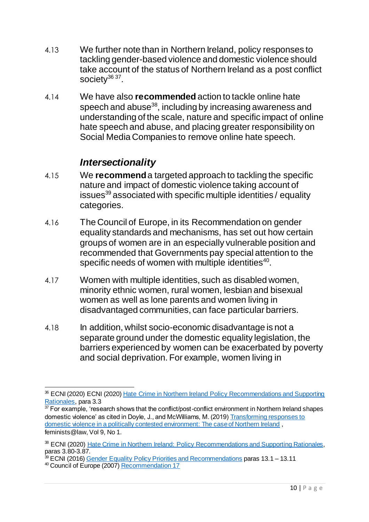- 4.13 We further note than in Northern Ireland, policy responses to tackling gender-based violence and domestic violence should take account of the status of Northern Ireland as a post conflict society<sup>36</sup>37.
- 4.14 We have also **recommended** action to tackle online hate speech and abuse $38$ , including by increasing awareness and understanding of the scale, nature and specific impact of online hate speech and abuse, and placing greater responsibility on Social Media Companies to remove online hate speech.

### *Intersectionality*

- <span id="page-11-0"></span>4.15 We **recommend**a targeted approach to tackling the specific nature and impact of domestic violence taking account of issues<sup>39</sup> associated with specific multiple identities / equality categories.
- 4.16 The Council of Europe, in its Recommendation on gender equality standards and mechanisms, has set out how certain groups of women are in an especially vulnerable position and recommended that Governments pay special attention to the specific needs of women with multiple identities<sup>40</sup>.
- 4.17 Women with multiple identities, such as disabled women, minority ethnic women, rural women, lesbian and bisexual women as well as lone parents and women living in disadvantaged communities, can face particular barriers.
- 4.18 In addition, whilst socio-economic disadvantage is not a separate ground under the domestic equality legislation, the barriers experienced by women can be exacerbated by poverty and social deprivation. For example, women living in

 $\overline{a}$ <sup>36</sup> ECNI (2020) ECNI (2020) Hate Crime in Northern Ireland Policy Recommendations and Supporting [Rationales,](https://www.equalityni.org/ECNI/media/ECNI/Publications/Delivering%20Equality/HateCrime-FullPolicyPosition.pdf) para 3.3

 $37$  For example, 'research shows that the conflict/post-conflict environment in Northern Ireland shapes domestic violence' as cited in Doyle, J., and McWilliams, M. (2019) Transforming responses to [domestic violence in a politically contested environment: The case of Northern Ireland](https://journals.kent.ac.uk/index.php/feministsatlaw/article/view/744/1459) , feminists@law, Vol 9, No 1.

<sup>38</sup> ECNI (2020) [Hate Crime in Northern Ireland: Policy Recommendations and Supporting Rationales,](https://www.equalityni.org/ECNI/media/ECNI/Publications/Delivering%20Equality/HateCrime-FullPolicyPosition.pdf) paras 3.80-3.87.

<sup>&</sup>lt;sup>39</sup> ECNI (2016) [Gender Equality Policy Priorities and Recommendations](https://www.equalityni.org/ECNI/media/ECNI/Publications/Delivering%20Equality/GenderPolicyPriorities-Full.pdf) paras 13.1 – 13.11

<sup>&</sup>lt;sup>40</sup> Council of Europe (2007) [Recommendation 17](https://search.coe.int/cm/Pages/result_details.aspx?ObjectID=09000016805d4aa3)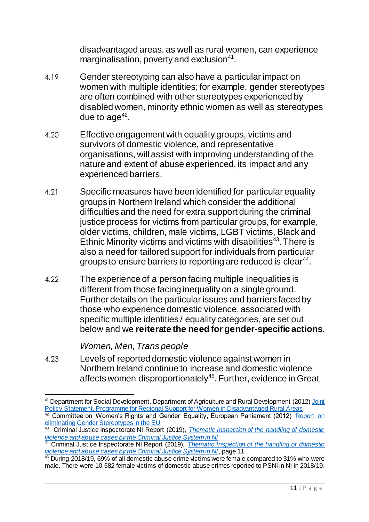disadvantaged areas, as well as rural women, can experience marginalisation, poverty and exclusion $41$ .

- 4.19 Gender stereotyping can also have a particular impact on women with multiple identities; for example, gender stereotypes are often combined with other stereotypes experienced by disabled women, minority ethnic women as well as stereotypes due to age $42$ .
- 4.20 Effective engagement with equality groups, victims and survivors of domestic violence, and representative organisations, will assist with improving understanding of the nature and extent of abuse experienced, its impact and any experienced barriers.
- 4.21 Specific measures have been identified for particular equality groups in Northern Ireland which consider the additional difficulties and the need for extra support during the criminal justice process for victims from particular groups, for example, older victims, children, male victims, LGBT victims, Black and Ethnic Minority victims and victims with disabilities<sup>43</sup>. There is also a need for tailored support for individuals from particular groups to ensure barriers to reporting are reduced is clear<sup>44</sup>.
- 4.22 The experience of a person facing multiple inequalities is different from those facing inequality on a single ground. Further details on the particular issues and barriers faced by those who experience domestic violence, associated with specific multiple identities / equality categories, are set out below and we **reiterate the need for gender-specific actions**.

#### *Women, Men, Trans people*

4.23 Levels of reported domestic violence against women in Northern Ireland continue to increase and domestic violence affects women disproportionately<sup>45</sup>. Further, evidence in Great

 $\overline{a}$ <sup>41</sup> Department for Social Development, Department of Agriculture and Rural Development (2012) Joint [Policy Statement, Programme for Regional Support for Women in Disadvantaged Rural Areas](https://view.officeapps.live.com/op/view.aspx?src=https%3A%2F%2Fwww.communities-ni.gov.uk%2Fsites%2Fdefault%2Ffiles%2Fpublications%2Fdsd%2Fregional-support-for-woman-in-disadvantaged-areas-and-rural-areas.doc&wdOrigin=BROWSELINK)

<sup>42</sup> Committee on Women's Rights and Gender Equality, European Parliament (2012) Report on [eliminating Gender Stereotypes in the EU](https://www.europarl.europa.eu/doceo/document/A-7-2012-0401_EN.html) 43 Criminal Justice Inspectorate NI Report (2019), *[Thematic Inspection of the handling of domestic](http://www.cjini.org/getattachment/079beabb-d094-40e9-8738-0f84cd347ae8/report.aspx)* 

*[violence and abuse cases by the Criminal Justice System in NI](http://www.cjini.org/getattachment/079beabb-d094-40e9-8738-0f84cd347ae8/report.aspx)*

<sup>44</sup> Criminal Justice Inspectorate NI Report (2019), *[Thematic Inspection of the handling of domestic](http://www.cjini.org/getattachment/079beabb-d094-40e9-8738-0f84cd347ae8/report.aspx)  [violence and abuse cases by the Criminal Justice System in NI](http://www.cjini.org/getattachment/079beabb-d094-40e9-8738-0f84cd347ae8/report.aspx)*, page 11.

<sup>&</sup>lt;sup>45</sup> During 2018/19, 69% of all domestic abuse crime victims were female compared to 31% who were male. There were 10,582 female victims of domestic abuse crimes reported to PSNI in NI in 2018/19.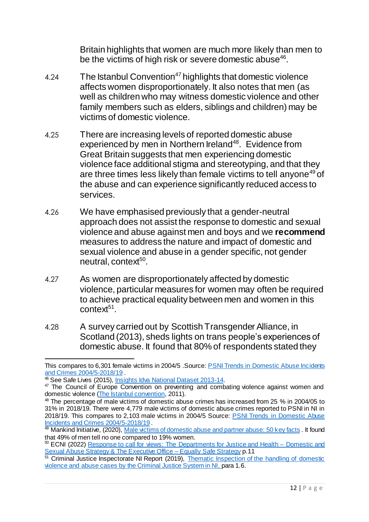Britain highlights that women are much more likely than men to be the victims of high risk or severe domestic abuse $46$ .

- 4.24 The Istanbul Convention<sup>47</sup> highlights that domestic violence affects women disproportionately. It also notes that men (as well as children who may witness domestic violence and other family members such as elders, siblings and children) may be victims of domestic violence.
- 4.25 There are increasing levels of reported domestic abuse experienced by men in Northern Ireland<sup>48</sup>. Evidence from Great Britain suggests that men experiencing domestic violence face additional stigma and stereotyping, and that they are three times less likely than female victims to tell anyone<sup>49</sup> of the abuse and can experience significantly reduced access to services.
- 4.26 We have emphasised previously that a gender-neutral approach does not assist the response to domestic and sexual violence and abuse against men and boys and we **recommend**  measures to address the nature and impact of domestic and sexual violence and abuse in a gender specific, not gender neutral, context<sup>50</sup>.
- 4.27 As women are disproportionately affected by domestic violence, particular measures for women may often be required to achieve practical equality between men and women in this context<sup>51</sup>.
- 4.28 A survey carried out by Scottish Transgender Alliance, in Scotland (2013), sheds lights on trans people's experiences of domestic abuse. It found that 80% of respondents stated they

 $\overline{a}$ This compares to 6,301 female victims in 2004/5 .Source[: PSNI Trends in Domestic Abuse Incidents](https://www.psni.police.uk/globalassets/inside-the-psni/our-statistics/domestic-abuse-statistics/2018-19/domestic-abuse-incidents-and-crimes-in-northern-ireland-2004-05-to-2018-19.pdf)  [and Crimes 2004/5-2018/19](https://www.psni.police.uk/globalassets/inside-the-psni/our-statistics/domestic-abuse-statistics/2018-19/domestic-abuse-incidents-and-crimes-in-northern-ireland-2004-05-to-2018-19.pdf) .

<sup>&</sup>lt;sup>46</sup> See Safe Lives (2015), *Insights Idva National Dataset 2013-14*.

<sup>&</sup>lt;sup>47</sup> The Council of Europe Convention on preventing and combating violence against women and domestic violence [\(The Istanbul convention,](https://www.coe.int/en/web/istanbul-convention/) 2011).

<sup>&</sup>lt;sup>48</sup> The percentage of male victims of domestic abuse crimes has increased from 25 % in 2004/05 to 31% in 2018/19. There were 4,779 male victims of domestic abuse crimes reported to PSNI in NI in 2018/19. This compares to 2,103 male victims in 2004/5 Source: [PSNI Trends in Domestic Abuse](https://www.psni.police.uk/globalassets/inside-the-psni/our-statistics/domestic-abuse-statistics/2018-19/domestic-abuse-incidents-and-crimes-in-northern-ireland-2004-05-to-2018-19.pdf)  [Incidents and Crimes 2004/5-2018/19](https://www.psni.police.uk/globalassets/inside-the-psni/our-statistics/domestic-abuse-statistics/2018-19/domestic-abuse-incidents-and-crimes-in-northern-ireland-2004-05-to-2018-19.pdf) .

<sup>&</sup>lt;sup>49</sup> Mankind Initiative, (2020)[, Male victims of domestic abuse and partner abuse: 50 key facts](https://www.mankind.org.uk/wp-content/uploads/2020/03/50-Key-Facts-about-Male-Victims-of-Domestic-Abuse-and-Partner-Abuse-March-2020-final.pdf). It found that 49% of men tell no one compared to 19% women.

<sup>&</sup>lt;sup>50</sup> ECNI (2022) [Response to call for views: The Departments for Justice and Health –](https://www.equalityni.org/ECNI/media/ECNI/Consultation%20Responses/2022/DOJ-Domestic-Sex-Abuse-Strategy.pdf) Domestic and [Sexual Abuse Strategy & The Executive Office –](https://www.equalityni.org/ECNI/media/ECNI/Consultation%20Responses/2022/DOJ-Domestic-Sex-Abuse-Strategy.pdf) Equally Safe Strategy p.11

<sup>&</sup>lt;sup>51</sup> Criminal Justice Inspectorate NI Report (2019), Thematic Inspection of the handling of domestic [violence and abuse cases by the Criminal Justice System in NI,](http://www.cjini.org/getattachment/079beabb-d094-40e9-8738-0f84cd347ae8/report.aspx) para 1.6.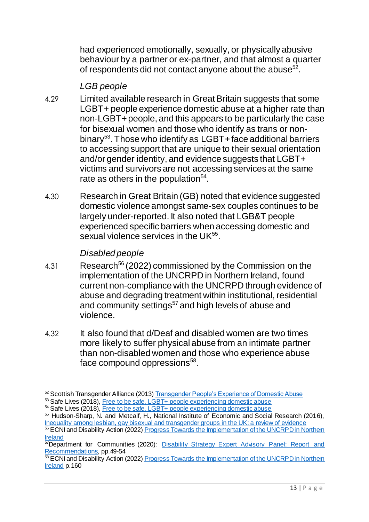had experienced emotionally, sexually, or physically abusive behaviour by a partner or ex-partner, and that almost a quarter of respondents did not contact anyone about the abuse $52$ .

#### *LGB people*

- 4.29 Limited available research in Great Britain suggests that some LGBT+ people experience domestic abuse at a higher rate than non-LGBT+ people, and this appears to be particularly the case for bisexual women and those who identify as trans or nonbinary<sup>53</sup>. Those who identify as LGBT+ face additional barriers to accessing support that are unique to their sexual orientation and/or gender identity, and evidence suggests that LGBT+ victims and survivors are not accessing services at the same rate as others in the population $54$ .
- 4.30 Research in Great Britain (GB) noted that evidence suggested domestic violence amongst same-sex couples continues to be largely under-reported. It also noted that LGB&T people experienced specific barriers when accessing domestic and sexual violence services in the UK<sup>55</sup>.

#### *Disabled people*

- 4.31 Research<sup>56</sup> (2022) commissioned by the Commission on the implementation of the UNCRPD in Northern Ireland, found current non-compliance with the UNCRPD through evidence of abuse and degrading treatment within institutional, residential and community settings<sup>57</sup> and high levels of abuse and violence.
- 4.32 It also found that d/Deaf and disabled women are two times more likely to suffer physical abuse from an intimate partner than non-disabled women and those who experience abuse face compound oppressions<sup>58</sup>.

 $\overline{a}$ 52 Scottish Transgender Alliance (2013[\) Transgender People's Experience of Domestic Abuse](https://www.scottishtrans.org/wp-content/uploads/2013/03/trans_domestic_abuse.pdf)

<sup>53</sup> Safe Lives (2018), [Free to be safe, LGBT+ people experiencing domestic abuse](https://safelives.org.uk/sites/default/files/resources/Free%20to%20be%20safe%20web.pdf)

<sup>&</sup>lt;sup>54</sup> Safe Lives (2018), [Free to be safe, LGBT+ people experiencing domestic abuse](https://safelives.org.uk/sites/default/files/resources/Free%20to%20be%20safe%20web.pdf)

<sup>55</sup> Hudson-Sharp, N. and Metcalf, H., National Institute of Economic and Social Research (2016), [Inequality among lesbian, gay bisexual and transgender groups in the UK: a review of evidence](https://assets.publishing.service.gov.uk/government/uploads/system/uploads/attachment_data/file/539682/160719_REPORT_LGBT_evidence_review_NIESR_FINALPDF.pdf)

<sup>&</sup>lt;sup>56</sup> ECNI and Disability Action (2022) **Progress Towards the Implementation of the UNCRPD in Northem [Ireland](https://www.disabilityaction.org/progress-towards-the-implementation-of-the-uncrpd-in-ni)** <sup>57</sup>Department for Communities (2020): Disability Strategy Expert Advisory Panel: Report and

[Recommendations,](https://www.communities-ni.gov.uk/system/files/publications/communities/dfc-social-inclusion-strategy-disability-expert-advisory-panel-report.pdf) pp.49-54

<sup>58</sup> ECNI and Disability Action (2022) Progress Towards the Implementation of the UNCRPD in Northern [Ireland](https://www.disabilityaction.org/progress-towards-the-implementation-of-the-uncrpd-in-ni) p.160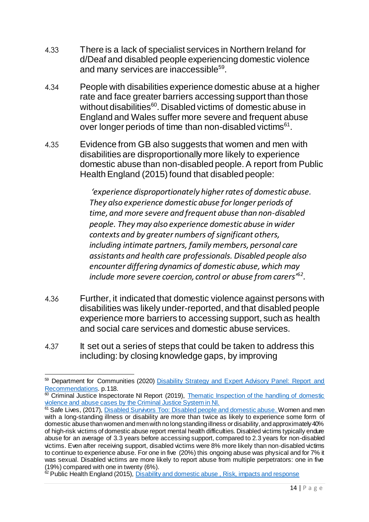- 4.33 There is a lack of specialist services in Northern Ireland for d/Deaf and disabled people experiencing domestic violence and many services are inaccessible<sup>59</sup>.
- 4.34 People with disabilities experience domestic abuse at a higher rate and face greater barriers accessing support than those without disabilities<sup>60</sup>. Disabled victims of domestic abuse in England and Wales suffer more severe and frequent abuse over longer periods of time than non-disabled victims<sup>61</sup>.
- 4.35 Evidence from GB also suggests that women and men with disabilities are disproportionally more likely to experience domestic abuse than non-disabled people. A report from Public Health England (2015) found that disabled people:

*'experience disproportionately higher rates of domestic abuse. They also experience domestic abuse for longer periods of time, and more severe and frequent abuse than non-disabled people. They may also experience domestic abuse in wider contexts and by greater numbers of significant others, including intimate partners, family members, personal care assistants and health care professionals. Disabled people also encounter differing dynamics of domestic abuse, which may include more severe coercion, control or abuse from carers'<sup>62</sup> .*

- 4.36 Further, it indicated that domestic violence against persons with disabilities was likely under-reported, and that disabled people experience more barriers to accessing support, such as health and social care services and domestic abuse services.
- 4.37 It set out a series of steps that could be taken to address this including: by closing knowledge gaps, by improving

 $\overline{a}$ 59 Department for Communities (2020) Disability Strategy and Expert Advisory Panel: Report and [Recommendations.](https://www.communities-ni.gov.uk/system/files/publications/communities/dfc-social-inclusion-strategy-disability-expert-advisory-panel-report.pdf) p.118.

<sup>&</sup>lt;sup>60</sup> Criminal Justice Inspectorate NI Report (2019), Thematic Inspection of the handling of domestic [violence and abuse cases by the Criminal Justice System in NI.](http://www.cjini.org/getattachment/079beabb-d094-40e9-8738-0f84cd347ae8/report.aspx)

<sup>&</sup>lt;sup>61</sup> Safe Lives, (2017), [Disabled Survivors Too: Disabled people and domestic abuse.](https://safelives.org.uk/sites/default/files/resources/Disabled%20Survivors%20Too%20CORRECTED.pdf) Women and men with a long-standing illness or disability are more than twice as likely to experience some form of domestic abuse than women and men with no long standing illness or disability, and approximately 40% of high-risk victims of domestic abuse report mental health difficulties. Disabled victims typically endure abuse for an average of 3.3 years before accessing support, compared to 2.3 years for non-disabled victims. Even after receiving support, disabled victims were 8% more likely than non-disabled victims to continue to experience abuse. For one in five (20%) this ongoing abuse was physical and for 7% it was sexual. Disabled victims are more likely to report abuse from multiple perpetrators: one in five (19%) compared with one in twenty (6%).

<sup>&</sup>lt;sup>2</sup> Public Health England (2015), Disability and domestic abuse, Risk, impacts and response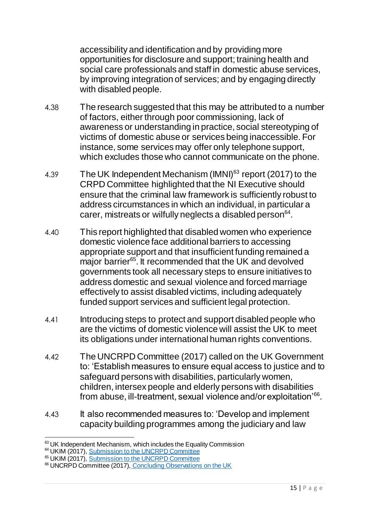accessibility and identification and by providing more opportunities for disclosure and support; training health and social care professionals and staff in domestic abuse services, by improving integration of services; and by engaging directly with disabled people.

- 4.38 The research suggested that this may be attributed to a number of factors, either through poor commissioning, lack of awareness or understanding in practice, social stereotyping of victims of domestic abuse or services being inaccessible. For instance, some services may offer only telephone support, which excludes those who cannot communicate on the phone.
- 4.39 The UK Independent Mechanism (IMNI)<sup>63</sup> report (2017) to the CRPD Committee highlighted that the NI Executive should ensure that the criminal law framework is sufficiently robust to address circumstances in which an individual, in particular a carer, mistreats or wilfully neglects a disabled person<sup>64</sup>.
- 4.40 This report highlighted that disabled women who experience domestic violence face additional barriers to accessing appropriate support and that insufficient funding remained a major barrier<sup>65</sup>. It recommended that the UK and devolved governments took all necessary steps to ensure initiatives to address domestic and sexual violence and forced marriage effectively to assist disabled victims, including adequately funded support services and sufficient legal protection.
- 4.41 Introducing steps to protect and support disabled people who are the victims of domestic violence will assist the UK to meet its obligations under international human rights conventions.
- 4.42 The UNCRPD Committee (2017) called on the UK Government to: 'Establish measures to ensure equal access to justice and to safeguard persons with disabilities, particularly women, children, intersex people and elderly persons with disabilities from abuse, ill-treatment, sexual violence and/or exploitation'<sup>66</sup>.
- 4.43 It also recommended measures to: 'Develop and implement capacity building programmes among the judiciary and law

<sup>1</sup> 63 UK Independent Mechanism, which includes the Equality Commission

<sup>&</sup>lt;sup>64</sup> UKIM (2017), [Submission to the UNCRPD Committee](http://www.equalityni.org/ECNI/media/ECNI/Publications/Delivering%20Equality/UKIM-ShadowReport-July17.pdf)

<sup>&</sup>lt;sup>65</sup> UKIM (2017), [Submission to the UNCRPD Committee](http://www.equalityni.org/ECNI/media/ECNI/Publications/Delivering%20Equality/UKIM-ShadowReport-July17.pdf)

<sup>&</sup>lt;sup>66</sup> UNCRPD Committee (2017), [Concluding Observations on the UK](https://www.equalityni.org/ECNI/media/ECNI/Publications/Delivering%20Equality/CRPD-ConcludingObservationsAug17.pdf)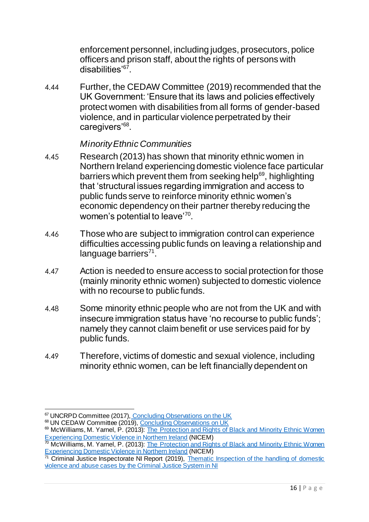enforcement personnel, including judges, prosecutors, police officers and prison staff, about the rights of persons with disabilities<sup>'67</sup>.

4.44 Further, the CEDAW Committee (2019) recommended that the UK Government: 'Ensure that its laws and policies effectively protect women with disabilities from all forms of gender-based violence, and in particular violence perpetrated by their caregivers'<sup>68</sup>.

#### *Minority Ethnic Communities*

- 4.45 Research (2013) has shown that minority ethnic women in Northern Ireland experiencing domestic violence face particular barriers which prevent them from seeking help<sup>69</sup>, highlighting that 'structural issues regarding immigration and access to public funds serve to reinforce minority ethnic women's economic dependency on their partner thereby reducing the women's potential to leave'<sup>70</sup>.
- 4.46 Those who are subject to immigration control can experience difficulties accessing public funds on leaving a relationship and language barriers<sup>71</sup>.
- 4.47 Action is needed to ensure access to social protection for those (mainly minority ethnic women) subjected to domestic violence with no recourse to public funds.
- 4.48 Some minority ethnic people who are not from the UK and with insecure immigration status have 'no recourse to public funds'; namely they cannot claim benefit or use services paid for by public funds.
- 4.49 Therefore, victims of domestic and sexual violence, including minority ethnic women, can be left financially dependent on

 $\overline{a}$ <sup>67</sup> UNCRPD Committee (2017), [Concluding Observations on the UK](https://www.equalityni.org/ECNI/media/ECNI/Publications/Delivering%20Equality/CRPD-ConcludingObservationsAug17.pdf)

<sup>68</sup> UN CEDAW Committee (2019), [Concluding Observations on UK](https://www.equalityni.org/ECNI/media/ECNI/Publications/Delivering%20Equality/CEDAW-ConcludingObservationsUK-Mar19.pdf)

<sup>69</sup> McWilliams, M. Yarnel, P. (2013): The Protection and Rights of Black and Minority Ethnic Women [Experiencing Domestic Violence in Northern Ireland](http://www.hscbusiness.hscni.net/pdf/PRBMEWEDVNI.pdf) (NICEM)

<sup>&</sup>lt;sup>70</sup> McWilliams, M. Yarnel, P. (2013): The Protection and Rights of Black and Minority Ethnic Women [Experiencing Domestic Violence in Northern Ireland](http://www.hscbusiness.hscni.net/pdf/PRBMEWEDVNI.pdf) (NICEM)

 $71$  Criminal Justice Inspectorate NI Report (2019), Thematic Inspection of the handling of domestic [violence and abuse cases by the Criminal Justice System in NI](http://www.cjini.org/getattachment/079beabb-d094-40e9-8738-0f84cd347ae8/report.aspx)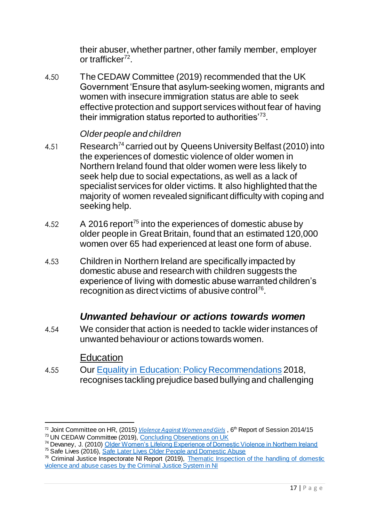their abuser, whether partner, other family member, employer or trafficker<sup>72</sup>.

4.50 The CEDAW Committee (2019) recommended that the UK Government 'Ensure that asylum-seeking women, migrants and women with insecure immigration status are able to seek effective protection and support services without fear of having their immigration status reported to authorities'<sup>73</sup>.

#### *Older people and children*

- 4.51 Research<sup>74</sup> carried out by Queens University Belfast (2010) into the experiences of domestic violence of older women in Northern Ireland found that older women were less likely to seek help due to social expectations, as well as a lack of specialist services for older victims. It also highlighted that the majority of women revealed significant difficulty with coping and seeking help.
- 4.52 A 2016 report<sup>75</sup> into the experiences of domestic abuse by older people in Great Britain, found that an estimated 120,000 women over 65 had experienced at least one form of abuse.
- 4.53 Children in Northern Ireland are specifically impacted by domestic abuse and research with children suggests the experience of living with domestic abuse warranted children's recognition as direct victims of abusive control<sup>76</sup>.

### *Unwanted behaviour or actions towards women*

<span id="page-18-0"></span>4.54 We consider that action is needed to tackle wider instances of unwanted behaviour or actions towards women.

### Education

4.55 Our [Equality in Education: Policy Recommendations](https://www.equalityni.org/ECNI/media/ECNI/Publications/Delivering%20Equality/Education-FullPolicyPosition.pdf) 2018, recognises tackling prejudice based bullying and challenging

 $\overline{a}$ <sup>72</sup> Joint Committee on HR, (2015) *[Violence Against Women and Girls](http://www.publications.parliament.uk/pa/jt201415/jtselect/jtrights/106/106.pdf)*, 6<sup>th</sup> Report of Session 2014/15

<sup>73</sup> UN CEDAW Committee (2019), [Concluding Observations on UK](https://www.equalityni.org/ECNI/media/ECNI/Publications/Delivering%20Equality/CEDAW-ConcludingObservationsUK-Mar19.pdf)

<sup>&</sup>lt;sup>74</sup> Devaney, J. (2010) [Older Women's Lifelong Experience of Domestic Violence in Northern Ireland](https://pure.qub.ac.uk/en/publications/older-womens-lifelong-experience-of-domestic-violence-in-northern) <sup>75</sup> Safe Lives (2016), [Safe Later Lives Older People and Domestic Abuse](https://safelives.org.uk/sites/default/files/resources/Safe%20Later%20Lives%20-%20Older%20people%20and%20domestic%20abuse.pdf)

<sup>&</sup>lt;sup>76</sup> Criminal Justice Inspectorate NI Report (2019), Thematic Inspection of the handling of domestic [violence and abuse cases by the Criminal Justice System in NI](http://www.cjini.org/getattachment/079beabb-d094-40e9-8738-0f84cd347ae8/report.aspx)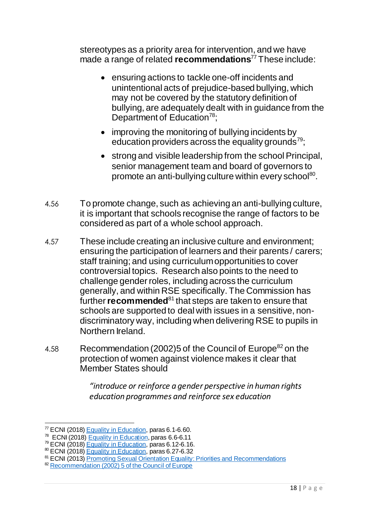stereotypes as a priority area for intervention, and we have made a range of related **recommendations**<sup>77</sup> These include:

- ensuring actions to tackle one-off incidents and unintentional acts of prejudice-based bullying, which may not be covered by the statutory definition of bullying, are adequately dealt with in guidance from the Department of Education<sup>78</sup>;
- improving the monitoring of bullying incidents by education providers across the equality grounds $79$ .
- strong and visible leadership from the school Principal, senior management team and board of governors to promote an anti-bullying culture within every school<sup>80</sup>.
- 4.56 To promote change, such as achieving an anti-bullying culture, it is important that schools recognise the range of factors to be considered as part of a whole school approach.
- 4.57 These include creating an inclusive culture and environment; ensuring the participation of learners and their parents / carers; staff training; and using curriculum opportunities to cover controversial topics. Research also points to the need to challenge gender roles, including across the curriculum generally, and within RSE specifically. The Commission has further **recommended**<sup>81</sup> that steps are taken to ensure that schools are supported to deal with issues in a sensitive, nondiscriminatory way, including when delivering RSE to pupils in Northern Ireland.
- 4.58 Recommendation (2002) 5 of the Council of Europe<sup>82</sup> on the protection of women against violence makes it clear that Member States should

*"introduce or reinforce a gender perspective in human rights education programmes and reinforce sex education* 

<sup>1</sup>  $77$  ECNI (2018) [Equality in Education,](https://www.equalityni.org/ECNI/media/ECNI/Publications/Delivering%20Equality/Education-FullPolicyPosition.pdf) paras 6.1-6.60.

<sup>&</sup>lt;sup>78</sup> ECNI (2018) [Equality in Education,](https://www.equalityni.org/ECNI/media/ECNI/Publications/Delivering%20Equality/Education-FullPolicyPosition.pdf) paras 6.6-6.11

<sup>79</sup> ECNI (2018) [Equality in Education,](https://www.equalityni.org/ECNI/media/ECNI/Publications/Delivering%20Equality/Education-FullPolicyPosition.pdf) paras 6.12-6.16.

<sup>80</sup> ECNI (2018) [Equality in Education,](https://www.equalityni.org/ECNI/media/ECNI/Publications/Delivering%20Equality/Education-FullPolicyPosition.pdf) paras 6.27-6.32

<sup>81</sup> ECNI (2013) [Promoting Sexual Orientation Equality: Priorities and Recommendations](https://www.equalityni.org/ECNI/media/ECNI/Publications/Delivering%20Equality/PromotingSexualOrientation_PolicyPrioritiesOct2013.pdf)

<sup>82</sup> [Recommendation \(2002\) 5 of the Council of Europe](https://wcd.coe.int/ViewDoc.jsp?id=280915&Site=CM&BackColorInternet=C3C3C3&BackColorIntranet=EDB021&BackColorLogged=F5D383)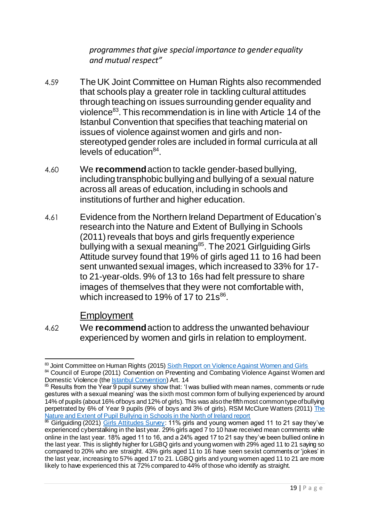*programmes that give special importance to gender equality and mutual respect"*

- 4.59 The UK Joint Committee on Human Rights also recommended that schools play a greater role in tackling cultural attitudes through teaching on issues surrounding gender equality and violence<sup>83</sup>. This recommendation is in line with Article 14 of the Istanbul Convention that specifies that teaching material on issues of violence against women and girls and nonstereotyped gender roles are included in formal curricula at all levels of education<sup>84</sup>.
- 4.60 We **recommend**action to tackle gender-based bullying, including transphobic bullying and bullying of a sexual nature across all areas of education, including in schools and institutions of further and higher education.
- 4.61 Evidence from the Northern Ireland Department of Education's research into the Nature and Extent of Bullying in Schools (2011) reveals that boys and girls frequently experience bullying with a sexual meaning<sup>85</sup>. The 2021 Girlguiding Girls Attitude survey found that 19% of girls aged 11 to 16 had been sent unwanted sexual images, which increased to 33% for 17 to 21-year-olds. 9% of 13 to 16s had felt pressure to share images of themselves that they were not comfortable with, which increased to 19% of 17 to 21s<sup>86</sup>.

Employment

4.62 We **recommend**action to address the unwanted behaviour experienced by women and girls in relation to employment.

 $\overline{a}$ <sup>83</sup> Joint Committee on Human Rights (2015) <u>Sixth Report on Violence Against Women and Girls</u>

<sup>&</sup>lt;sup>84</sup> Council of Europe (2011) Convention on Preventing and Combating Violence Against Women and Domestic Violence (the **Istanbul Convention**) Art. 14

<sup>&</sup>lt;sup>85</sup> Results from the Year 9 pupil survey show that: 'I was bullied with mean names, comments or rude gestures with a sexual meaning' was the sixth most common form of bullying experienced by around 14% of pupils (about 16% of boys and 12% of girls). This was also the fifth most common type of bullying perpetrated by 6% of Year 9 pupils (9% of boys and 3% of girls). RSM McClure Watters (2011[\) The](http://dera.ioe.ac.uk/12479/1/no_56_report_final_2011.pdf)  [Nature and Extent of Pupil Bullying in Schools in the North of Ireland report](http://dera.ioe.ac.uk/12479/1/no_56_report_final_2011.pdf)

<sup>&</sup>lt;sup>86</sup> Girlguiding (2021) *Girls Attitudes Survey:* 11% girls and young women aged 11 to 21 say they've experienced cyberstalking in the last year. 29% girls aged 7 to 10 have received mean comments while online in the last year. 18% aged 11 to 16, and a 24% aged 17 to 21 say they've been bullied online in the last year. This is slightly higher for LGBQ girls and young women with 29% aged 11 to 21 saying so compared to 20% who are straight. 43% girls aged 11 to 16 have seen sexist comments or 'jokes' in the last year, increasing to 57% aged 17 to 21. LGBQ girls and young women aged 11 to 21 are more likely to have experienced this at 72% compared to 44% of those who identify as straight.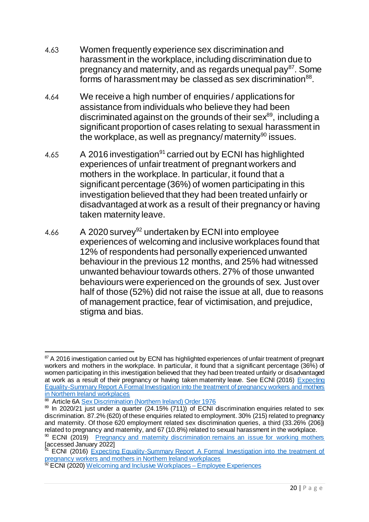- 4.63 Women frequently experience sex discrimination and harassment in the workplace, including discrimination due to pregnancy and maternity, and as regards unequal pay<sup>87</sup>. Some forms of harassment may be classed as sex discrimination<sup>88</sup>.
- 4.64 We receive a high number of enquiries / applications for assistance from individuals who believe they had been discriminated against on the grounds of their sex $^{89}$ , including a significant proportion of cases relating to sexual harassment in the workplace, as well as pregnancy/ maternity<sup>90</sup> issues.
- 4.65 A 2016 investigation<sup>91</sup> carried out by ECNI has highlighted experiences of unfair treatment of pregnant workers and mothers in the workplace. In particular, it found that a significant percentage (36%) of women participating in this investigation believed that they had been treated unfairly or disadvantaged at work as a result of their pregnancy or having taken maternity leave.
- 4.66 A 2020 survey<sup>92</sup> undertaken by ECNI into employee experiences of welcoming and inclusive workplaces found that 12% of respondents had personally experienced unwanted behaviour in the previous 12 months, and 25% had witnessed unwanted behaviour towards others. 27% of those unwanted behaviours were experienced on the grounds of sex. Just over half of those (52%) did not raise the issue at all, due to reasons of management practice, fear of victimisation, and prejudice, stigma and bias.

 $\overline{a}$  $87$  A 2016 investigation carried out by ECNI has highlighted experiences of unfair treatment of pregnant workers and mothers in the workplace. In particular, it found that a significant percentage (36%) of women participating in this investigation believed that they had been treated unfairly or disadvantaged at work as a result of their pregnancy or having taken maternity leave. See ECNI (2016) Expecting [Equality-Summary Report A Formal Investigation into the treatment of pregnancy workers and mothers](https://www.equalityni.org/ECNI/media/ECNI/Publications/Delivering%20Equality/Expecting_Equality-PregnancyInvestigation-SummaryReport.pdf)  [in Northern Ireland workplaces](https://www.equalityni.org/ECNI/media/ECNI/Publications/Delivering%20Equality/Expecting_Equality-PregnancyInvestigation-SummaryReport.pdf)

<sup>88</sup> Article 6[A Sex Discrimination \(Northern Ireland\) Order 1976](https://www.legislation.gov.uk/nisi/1976/1042/article/6A)

<sup>89</sup> In 2020/21 just under a quarter (24.15% (711)) of ECNI discrimination enquiries related to sex discrimination. 87.2% (620) of these enquiries related to employment. 30% (215) related to pregnancy and maternity. Of those 620 employment related sex discrimination queries, a third (33.26% (206)) related to pregnancy and maternity, and 67 (10.8%) related to sexual harassment in the workplace.

<sup>&</sup>lt;sup>90</sup> ECNI (2019) [Pregnancy and maternity discrimination remains an issue for working mothers](https://www.equalityni.org/Blog/Articles/August-2019/Pregnancy-and-maternity-discrimination-remains-an) [accessed January 2022]

ECNI (2016) Expecting Equality-Summary Report A Formal Investigation into the treatment of [pregnancy workers and mothers in Northern Ireland workplaces](https://www.equalityni.org/ECNI/media/ECNI/Publications/Delivering%20Equality/Expecting_Equality-PregnancyInvestigation-SummaryReport.pdf)

<sup>&</sup>lt;sup>92</sup> ECNI (2020) [Welcoming and Inclusive Workplaces –](https://www.equalityni.org/ECNI/media/ECNI/Publications/Delivering%20Equality/WorkplaceEmployeeSurvey-Part1Intro.pdf) Employee Experiences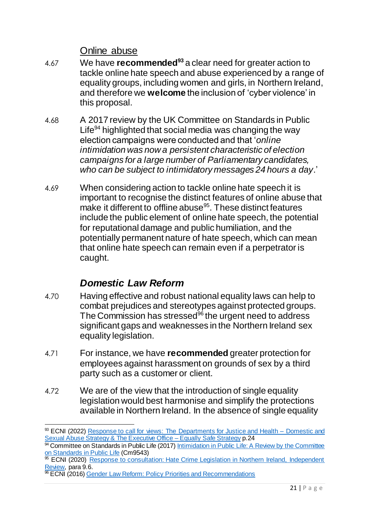Online abuse

- 4.67 We have **recommended<sup>93</sup>** a clear need for greater action to tackle online hate speech and abuse experienced by a range of equality groups, including women and girls, in Northern Ireland, and therefore we **welcome** the inclusion of 'cyber violence' in this proposal.
- 4.68 A 2017 review by the UK Committee on Standards in Public Life<sup>94</sup> highlighted that social media was changing the way election campaigns were conducted and that '*online intimidation was now a persistent characteristic of election campaigns for a large number of Parliamentary candidates, who can be subject to intimidatory messages 24 hours a day*.'
- 4.69 When considering action to tackle online hate speech it is important to recognise the distinct features of online abuse that make it different to offline abuse<sup>95</sup>. These distinct features include the public element of online hate speech, the potential for reputational damage and public humiliation, and the potentially permanent nature of hate speech, which can mean that online hate speech can remain even if a perpetrator is caught.

## *Domestic Law Reform*

- <span id="page-22-0"></span>4.70 Having effective and robust national equality laws can help to combat prejudices and stereotypes against protected groups. The Commission has stressed<sup>96</sup> the urgent need to address significant gaps and weaknesses in the Northern Ireland sex equality legislation.
- 4.71 For instance, we have **recommended** greater protection for employees against harassment on grounds of sex by a third party such as a customer or client.
- 4.72 We are of the view that the introduction of single equality legislation would best harmonise and simplify the protections available in Northern Ireland. In the absence of single equality

 $\overline{a}$ <sup>93</sup> ECNI (2022) [Response to call for views: The Departments for Justice and Health –](https://www.equalityni.org/ECNI/media/ECNI/Consultation%20Responses/2022/DOJ-Domestic-Sex-Abuse-Strategy.pdf) Domestic and [Sexual Abuse Strategy & The Executive Office –](https://www.equalityni.org/ECNI/media/ECNI/Consultation%20Responses/2022/DOJ-Domestic-Sex-Abuse-Strategy.pdf) Equally Safe Strategy p.24

<sup>&</sup>lt;sup>94</sup> Committee on Standards in Public Life (2017) <u>Intimidation in Public Life: A Review by the Committee</u> [on Standards in Public Life](https://assets.publishing.service.gov.uk/government/uploads/system/uploads/attachment_data/file/666927/6.3637_CO_v6_061217_Web3.1__2_.pdf) (Cm9543)

<sup>&</sup>lt;sup>5</sup> ECNI (2020) Response to consultation: Hate Crime Legislation in Northern Ireland, Independent [Review,](https://www.equalityni.org/ECNI/media/ECNI/Consultation%20Responses/2020/DoJ-HateCrimeLawReview.pdf) para 9.6.

**<sup>96</sup> ECNI** (2016) [Gender Law Reform: Policy Priorities and Recommendations](https://www.equalityni.org/ECNI/media/ECNI/Publications/Delivering%20Equality/GenderLawReform-SummaryReport.pdf)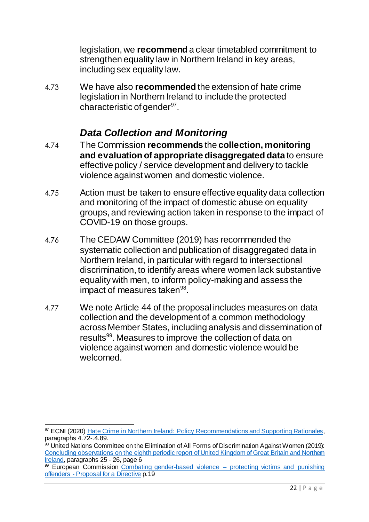legislation, we **recommend** a clear timetabled commitment to strengthen equality law in Northern Ireland in key areas, including sex equality law.

4.73 We have also **recommended** the extension of hate crime legislation in Northern Ireland to include the protected characteristic of gender<sup>97</sup>.

## *Data Collection and Monitoring*

- <span id="page-23-0"></span>4.74 The Commission **recommends** the **collection, monitoring and evaluation of appropriate disaggregated data** to ensure effective policy / service development and delivery to tackle violence against women and domestic violence.
- 4.75 Action must be taken to ensure effective equality data collection and monitoring of the impact of domestic abuse on equality groups, and reviewing action taken in response to the impact of COVID-19 on those groups.
- 4.76 The CEDAW Committee (2019) has recommended the systematic collection and publication of disaggregated data in Northern Ireland, in particular with regard to intersectional discrimination, to identify areas where women lack substantive equality with men, to inform policy-making and assess the impact of measures taken<sup>98</sup>.
- 4.77 We note Article 44 of the proposal includes measures on data collection and the development of a common methodology across Member States, including analysis and dissemination of results<sup>99</sup>. Measures to improve the collection of data on violence against women and domestic violence would be welcomed.

 $\overline{a}$ <sup>97</sup> ECNI (2020) [Hate Crime in Northern Ireland: Policy Recommendations and Supporting Rationales,](https://www.equalityni.org/ECNI/media/ECNI/Publications/Delivering%20Equality/HateCrime-FullPolicyPosition.pdf) paragraphs 4.72-.4.89.

<sup>98</sup> United Nations Committee on the Elimination of All Forms of Discrimination Against Women (2019): Concluding observations on the eighth periodic report of United Kingdom of Great Britain and Northern [Ireland,](https://www.equalityni.org/ECNI/media/ECNI/Publications/Delivering%20Equality/CEDAW-ConcludingObservationsUK-Mar19.pdf) paragraphs 25 - 26, page 6

 $\frac{99}{99}$  European Commission [Combating gender-based violence –](https://ec.europa.eu/info/law/better-regulation/have-your-say/initiatives/12682-Combating-gender-based-violence-protecting-victims-and-punishing-offenders_en) protecting victims and punishing offenders - [Proposal for a Directive](https://ec.europa.eu/info/law/better-regulation/have-your-say/initiatives/12682-Combating-gender-based-violence-protecting-victims-and-punishing-offenders_en) p.19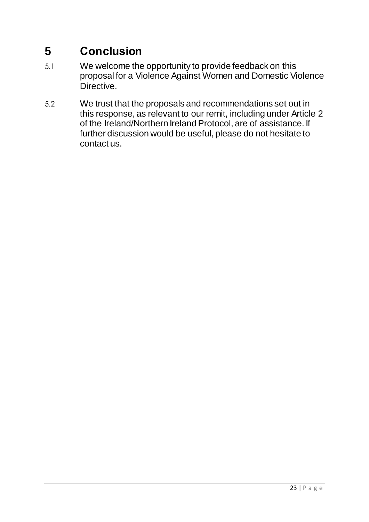# <span id="page-24-0"></span>**5 Conclusion**

- 5.1 We welcome the opportunity to provide feedback on this proposal for a Violence Against Women and Domestic Violence Directive.
- 5.2 We trust that the proposals and recommendations set out in this response, as relevant to our remit, including under Article 2 of the Ireland/Northern Ireland Protocol, are of assistance. If further discussion would be useful, please do not hesitate to contact us.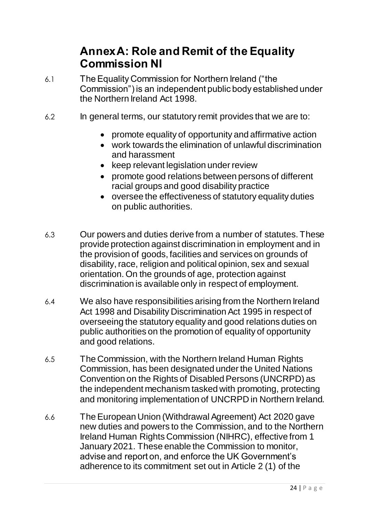## **Annex A: Role and Remit of the Equality Commission NI**

- <span id="page-25-0"></span>6.1 The Equality Commission for Northern Ireland ("the Commission") is an independent public body established under the Northern Ireland Act 1998.
- 6.2 In general terms, our statutory remit provides that we are to:
	- promote equality of opportunity and affirmative action
	- work towards the elimination of unlawful discrimination and harassment
	- keep relevant legislation under review
	- promote good relations between persons of different racial groups and good disability practice
	- oversee the effectiveness of statutory equality duties on public authorities.
- 6.3 Our powers and duties derive from a number of statutes. These provide protection against discrimination in employment and in the provision of goods, facilities and services on grounds of disability, race, religion and political opinion, sex and sexual orientation. On the grounds of age, protection against discrimination is available only in respect of employment.
- 6.4 We also have responsibilities arising from the Northern Ireland Act 1998 and Disability Discrimination Act 1995 in respect of overseeing the statutory equality and good relations duties on public authorities on the promotion of equality of opportunity and good relations.
- 6.5 The Commission, with the Northern Ireland Human Rights Commission, has been designated under the United Nations Convention on the Rights of Disabled Persons (UNCRPD) as the independent mechanism tasked with promoting, protecting and monitoring implementation of UNCRPD in Northern Ireland.
- 6.6 The European Union (Withdrawal Agreement) Act 2020 gave new duties and powers to the Commission, and to the Northern Ireland Human Rights Commission (NIHRC), effective from 1 January 2021. These enable the Commission to monitor, advise and report on, and enforce the UK Government's adherence to its commitment set out in Article 2 (1) of the